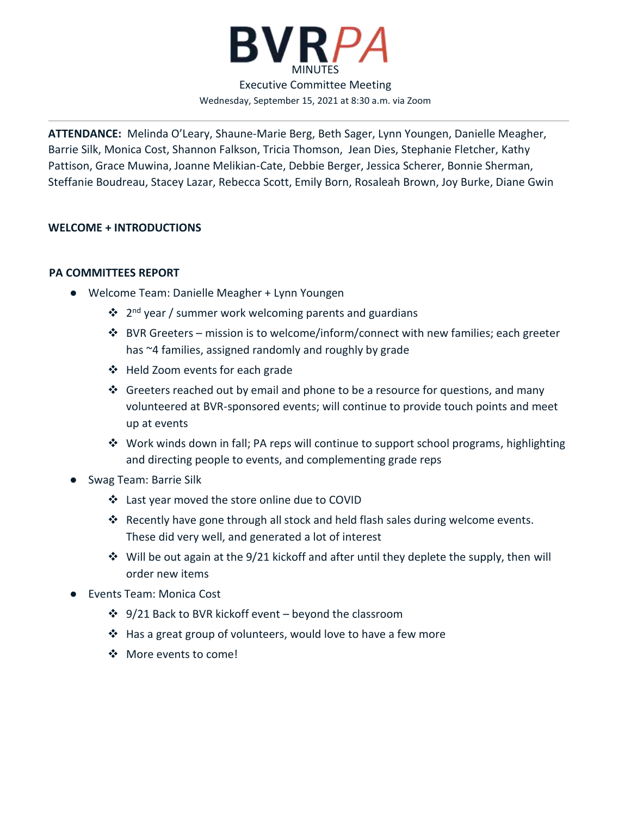

**ATTENDANCE:** Melinda O'Leary, Shaune-Marie Berg, Beth Sager, Lynn Youngen, Danielle Meagher, Barrie Silk, Monica Cost, Shannon Falkson, Tricia Thomson, Jean Dies, Stephanie Fletcher, Kathy Pattison, Grace Muwina, Joanne Melikian-Cate, Debbie Berger, Jessica Scherer, Bonnie Sherman, Steffanie Boudreau, Stacey Lazar, Rebecca Scott, Emily Born, Rosaleah Brown, Joy Burke, Diane Gwin

# **WELCOME + INTRODUCTIONS**

# **PA COMMITTEES REPORT**

- Welcome Team: Danielle Meagher + Lynn Youngen
	- ❖ 2<sup>nd</sup> year / summer work welcoming parents and guardians
	- ❖ BVR Greeters mission is to welcome/inform/connect with new families; each greeter has ~4 families, assigned randomly and roughly by grade
	- ❖ Held Zoom events for each grade
	- ❖ Greeters reached out by email and phone to be a resource for questions, and many volunteered at BVR-sponsored events; will continue to provide touch points and meet up at events
	- ❖ Work winds down in fall; PA reps will continue to support school programs, highlighting and directing people to events, and complementing grade reps
- Swag Team: Barrie Silk
	- ❖ Last year moved the store online due to COVID
	- ❖ Recently have gone through all stock and held flash sales during welcome events. These did very well, and generated a lot of interest
	- $\dots$  Will be out again at the 9/21 kickoff and after until they deplete the supply, then will order new items
- **Events Team: Monica Cost** 
	- ❖ 9/21 Back to BVR kickoff event beyond the classroom
	- ❖ Has a great group of volunteers, would love to have a few more
	- ❖ More events to come!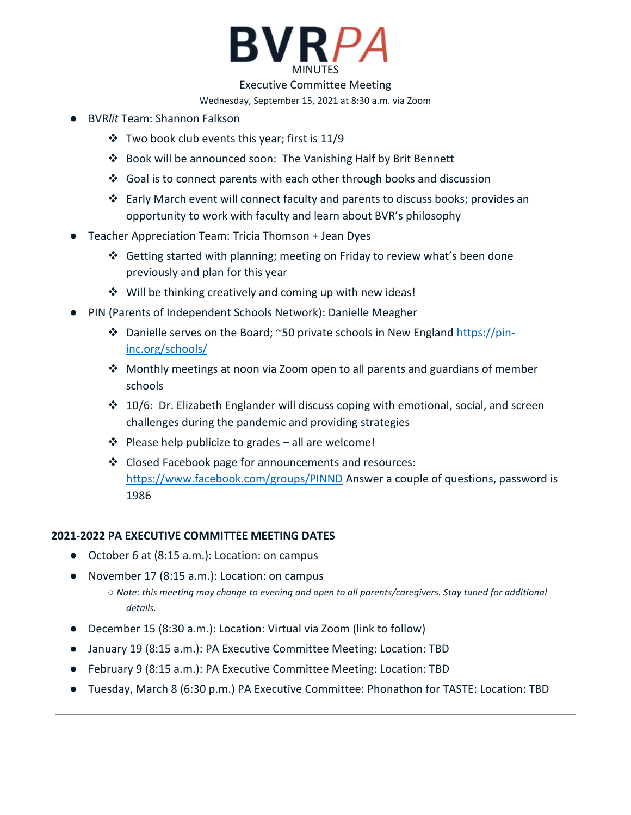

Executive Committee Meeting

Wednesday, September 15, 2021 at 8:30 a.m. via Zoom

- BVR*lit* Team: Shannon Falkson
	- ❖ Two book club events this year; first is 11/9
	- ❖ Book will be announced soon: The Vanishing Half by Brit Bennett
	- ◆ Goal is to connect parents with each other through books and discussion
	- ❖ Early March event will connect faculty and parents to discuss books; provides an opportunity to work with faculty and learn about BVR's philosophy
- Teacher Appreciation Team: Tricia Thomson + Jean Dyes
	- ❖ Getting started with planning; meeting on Friday to review what's been done previously and plan for this year
	- ❖ Will be thinking creatively and coming up with new ideas!
- PIN (Parents of Independent Schools Network): Danielle Meagher
	- ❖ Danielle serves on the Board; ~50 private schools in New England [https://pin](https://pin-inc.org/schools/)[inc.org/schools/](https://pin-inc.org/schools/)
	- ❖ Monthly meetings at noon via Zoom open to all parents and guardians of member schools
	- ❖ 10/6: Dr. Elizabeth Englander will discuss coping with emotional, social, and screen challenges during the pandemic and providing strategies
	- ❖ Please help publicize to grades all are welcome!
	- ❖ Closed Facebook page for announcements and resources: <https://www.facebook.com/groups/PINND> Answer a couple of questions, password is 1986

## **2021-2022 PA EXECUTIVE COMMITTEE MEETING DATES**

- October 6 at (8:15 a.m.): Location: on campus
- November 17 (8:15 a.m.): Location: on campus
	- *Note: this meeting may change to evening and open to all parents/caregivers. Stay tuned for additional details.*
- December 15 (8:30 a.m.): Location: Virtual via Zoom (link to follow)
- January 19 (8:15 a.m.): PA Executive Committee Meeting: Location: TBD
- February 9 (8:15 a.m.): PA Executive Committee Meeting: Location: TBD
- Tuesday, March 8 (6:30 p.m.) PA Executive Committee: Phonathon for TASTE: Location: TBD